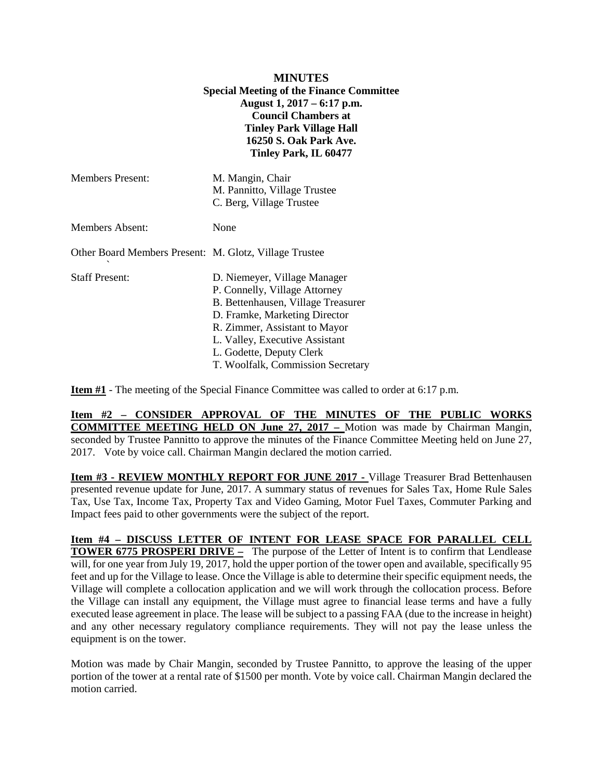| <b>MINUTES</b><br><b>Special Meeting of the Finance Committee</b><br>August 1, 2017 – 6:17 p.m.<br><b>Council Chambers at</b><br><b>Tinley Park Village Hall</b><br>16250 S. Oak Park Ave.<br>Tinley Park, IL 60477 |                                                                                                                                                                                                                                                                          |
|---------------------------------------------------------------------------------------------------------------------------------------------------------------------------------------------------------------------|--------------------------------------------------------------------------------------------------------------------------------------------------------------------------------------------------------------------------------------------------------------------------|
| <b>Members Present:</b>                                                                                                                                                                                             | M. Mangin, Chair<br>M. Pannitto, Village Trustee<br>C. Berg, Village Trustee                                                                                                                                                                                             |
| <b>Members Absent:</b>                                                                                                                                                                                              | None                                                                                                                                                                                                                                                                     |
| Other Board Members Present: M. Glotz, Village Trustee                                                                                                                                                              |                                                                                                                                                                                                                                                                          |
| <b>Staff Present:</b>                                                                                                                                                                                               | D. Niemeyer, Village Manager<br>P. Connelly, Village Attorney<br>B. Bettenhausen, Village Treasurer<br>D. Framke, Marketing Director<br>R. Zimmer, Assistant to Mayor<br>L. Valley, Executive Assistant<br>L. Godette, Deputy Clerk<br>T. Woolfalk, Commission Secretary |

**Item #1** - The meeting of the Special Finance Committee was called to order at 6:17 p.m.

**Item #2 – CONSIDER APPROVAL OF THE MINUTES OF THE PUBLIC WORKS COMMITTEE MEETING HELD ON June 27, 2017 –** Motion was made by Chairman Mangin, seconded by Trustee Pannitto to approve the minutes of the Finance Committee Meeting held on June 27, 2017. Vote by voice call. Chairman Mangin declared the motion carried.

**Item #3 - REVIEW MONTHLY REPORT FOR JUNE 2017 -** Village Treasurer Brad Bettenhausen presented revenue update for June, 2017. A summary status of revenues for Sales Tax, Home Rule Sales Tax, Use Tax, Income Tax, Property Tax and Video Gaming, Motor Fuel Taxes, Commuter Parking and Impact fees paid to other governments were the subject of the report.

**Item #4 – DISCUSS LETTER OF INTENT FOR LEASE SPACE FOR PARALLEL CELL TOWER 6775 PROSPERI DRIVE –** The purpose of the Letter of Intent is to confirm that Lendlease will, for one year from July 19, 2017, hold the upper portion of the tower open and available, specifically 95 feet and up for the Village to lease. Once the Village is able to determine their specific equipment needs, the Village will complete a collocation application and we will work through the collocation process. Before the Village can install any equipment, the Village must agree to financial lease terms and have a fully executed lease agreement in place. The lease will be subject to a passing FAA (due to the increase in height) and any other necessary regulatory compliance requirements. They will not pay the lease unless the equipment is on the tower.

Motion was made by Chair Mangin, seconded by Trustee Pannitto, to approve the leasing of the upper portion of the tower at a rental rate of \$1500 per month. Vote by voice call. Chairman Mangin declared the motion carried.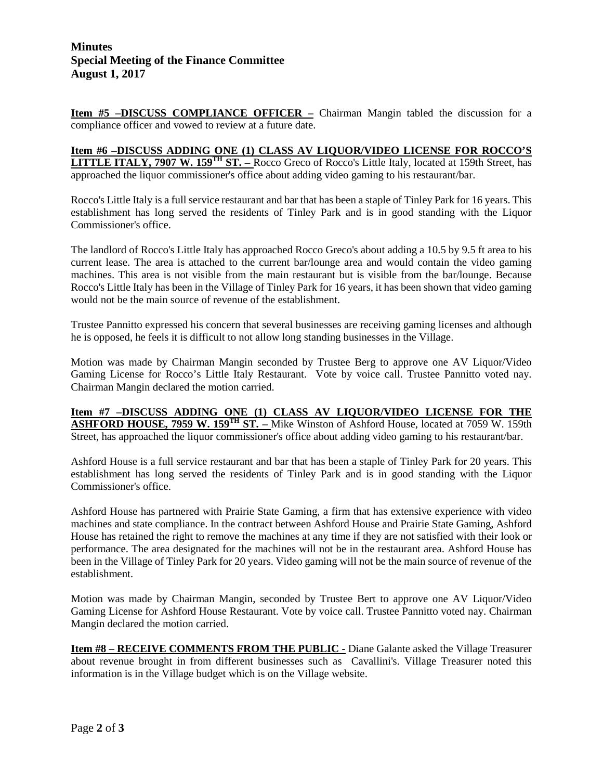## **Minutes Special Meeting of the Finance Committee August 1, 2017**

**Item #5 -DISCUSS COMPLIANCE OFFICER -** Chairman Mangin tabled the discussion for a compliance officer and vowed to review at a future date.

**Item #6 –DISCUSS ADDING ONE (1) CLASS AV LIQUOR/VIDEO LICENSE FOR ROCCO'S LITTLE ITALY, 7907 W. 159<sup>TH</sup> ST.** – Rocco Greco of Rocco's Little Italy, located at 159th Street, has approached the liquor commissioner's office about adding video gaming to his restaurant/bar.

Rocco's Little Italy is a full service restaurant and bar that has been a staple of Tinley Park for 16 years. This establishment has long served the residents of Tinley Park and is in good standing with the Liquor Commissioner's office.

The landlord of Rocco's Little Italy has approached Rocco Greco's about adding a 10.5 by 9.5 ft area to his current lease. The area is attached to the current bar/lounge area and would contain the video gaming machines. This area is not visible from the main restaurant but is visible from the bar/lounge. Because Rocco's Little Italy has been in the Village of Tinley Park for 16 years, it has been shown that video gaming would not be the main source of revenue of the establishment.

Trustee Pannitto expressed his concern that several businesses are receiving gaming licenses and although he is opposed, he feels it is difficult to not allow long standing businesses in the Village.

Motion was made by Chairman Mangin seconded by Trustee Berg to approve one AV Liquor/Video Gaming License for Rocco's Little Italy Restaurant. Vote by voice call. Trustee Pannitto voted nay. Chairman Mangin declared the motion carried.

**Item #7 –DISCUSS ADDING ONE (1) CLASS AV LIQUOR/VIDEO LICENSE FOR THE ASHFORD HOUSE, 7959 W. 159TH ST. –** Mike Winston of Ashford House, located at 7059 W. 159th Street, has approached the liquor commissioner's office about adding video gaming to his restaurant/bar.

Ashford House is a full service restaurant and bar that has been a staple of Tinley Park for 20 years. This establishment has long served the residents of Tinley Park and is in good standing with the Liquor Commissioner's office.

Ashford House has partnered with Prairie State Gaming, a firm that has extensive experience with video machines and state compliance. In the contract between Ashford House and Prairie State Gaming, Ashford House has retained the right to remove the machines at any time if they are not satisfied with their look or performance. The area designated for the machines will not be in the restaurant area. Ashford House has been in the Village of Tinley Park for 20 years. Video gaming will not be the main source of revenue of the establishment.

Motion was made by Chairman Mangin, seconded by Trustee Bert to approve one AV Liquor/Video Gaming License for Ashford House Restaurant. Vote by voice call. Trustee Pannitto voted nay. Chairman Mangin declared the motion carried.

**Item #8 – RECEIVE COMMENTS FROM THE PUBLIC -** Diane Galante asked the Village Treasurer about revenue brought in from different businesses such as Cavallini's. Village Treasurer noted this information is in the Village budget which is on the Village website.